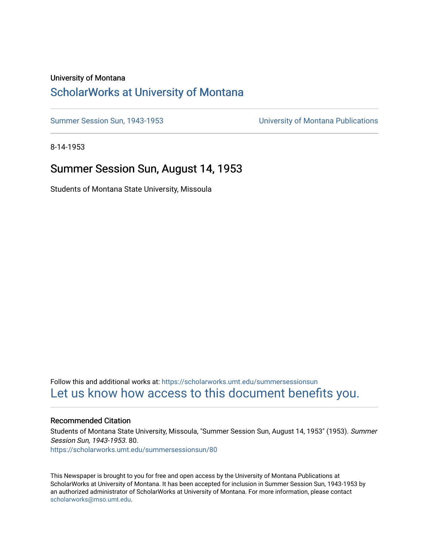### University of Montana

# [ScholarWorks at University of Montana](https://scholarworks.umt.edu/)

[Summer Session Sun, 1943-1953](https://scholarworks.umt.edu/summersessionsun) [University of Montana Publications](https://scholarworks.umt.edu/umpubs) 

8-14-1953

# Summer Session Sun, August 14, 1953

Students of Montana State University, Missoula

Follow this and additional works at: [https://scholarworks.umt.edu/summersessionsun](https://scholarworks.umt.edu/summersessionsun?utm_source=scholarworks.umt.edu%2Fsummersessionsun%2F80&utm_medium=PDF&utm_campaign=PDFCoverPages)  [Let us know how access to this document benefits you.](https://goo.gl/forms/s2rGfXOLzz71qgsB2) 

### Recommended Citation

Students of Montana State University, Missoula, "Summer Session Sun, August 14, 1953" (1953). Summer Session Sun, 1943-1953. 80. [https://scholarworks.umt.edu/summersessionsun/80](https://scholarworks.umt.edu/summersessionsun/80?utm_source=scholarworks.umt.edu%2Fsummersessionsun%2F80&utm_medium=PDF&utm_campaign=PDFCoverPages)

This Newspaper is brought to you for free and open access by the University of Montana Publications at ScholarWorks at University of Montana. It has been accepted for inclusion in Summer Session Sun, 1943-1953 by an authorized administrator of ScholarWorks at University of Montana. For more information, please contact [scholarworks@mso.umt.edu.](mailto:scholarworks@mso.umt.edu)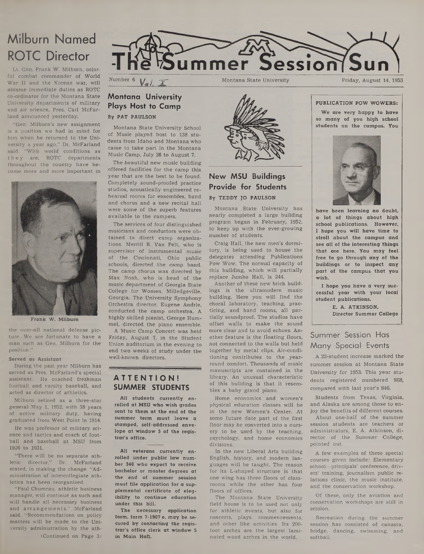# **Milburn Named ROTC Director**

**Lt. Gen. Frank W. Milburn, colorful combat commander of World War II and the Korean war, will assume immediate duties as ROTC co-ordinator for the Montana State University departments of military and air science, Pres. Carl McFarland announced yesterday.**

**"Gen. Milburn's new assignment is a position we had in mind for him when he returned to the University a year ago," Dr. McFarland said. "With world conditions as they are, ROTC departments throughout the country have become more and more important in**



**Frank W. Milburn**

**the over-all national defense picture. We are fortunate to have a man such as Gen. Milburn for the position."**

### **Served as Assistant**

**During the past year Milburn has served as Pres. McFarland's special assistant. He coached freshman football and varsity baseball, and acted as director of athletics.**

**Milburn retired as a three-star general May 1, 1952, with 38 years of active military duty, having graduated from West Point in 1914.**

**He was professor of military science and tactics and coach of football and baseball at MSU from 1926 to 1931.**

**"There will be no separate athletic director," Dr. McFarland stated, in making the change. "Administration of intercollegiate athletics has been reorganized.**

**"Paul Chumrau, athletic business manager, will continue as such and will handle all necessary business and arrangem ents," McFarland said. "Recommendations on policy matters will be made to the University administration by the ath- (Continued on Page 3)**



### Montana State University<br>Friday, August 14, 1953

# **Montana University Plays Host to Camp By PAT PAULSON**

Montana State University School of Music played host to 138 students from Idaho and Montana who came to take part in the Montana Music Camp, July 26 to August 7.

The beautiful new music building offered facilities for the camp this year that are the best to be found. Completely sound-proofed practice studios, acoustically engineered rehearsal rooms for ensembles, band and chorus and a new recital hall were some of the superb features available to the campers.

The services of four distinguished musicians and conductors were obtained to direct camp organizations. Merrill B. Van Pelt, who is supervisor of instrumental music of the Cincinnati, Ohio public schools, directed the camp band. The camp chorus was directed by Max Noah, who is head of the music department of Georgia State College for Women, Milledgeville, Georgia. The University Symphony Orchestra director, Eugene Andrie, conducted the camp orchestra. A highly skilled pianist, George Hummel, directed the piano ensemble.

A Music Camp Concert was held Friday, August 7, in the Student Union auditorium in the evening to end two weeks of study under the well-known directors.

# **ATTENTION! SUMMER STUDENTS**

**All students currently enrolled at MSU who wish grades sent to them at the end of the summer term must leave a stamped, self-addressed envelope at window 5 of the registrar's office.**

**All veterans currently enrolled under public law number 346 who expect to receive bachelor or master degrees at the end of summer session must file application for a supplemental certificate of elegibility to continue education under this bill.**

**The necessary application form, form 7-1907 e, may be secured by contacting the registrar's office clerk at window 5** in Main Hall.



# **New MSU Buildings Provide for Students By TEDDY JO PAULSON**

Montana State University has nearly completed a large building program began in February, 1952, to keep up with the ever-growing number of students.

Craig Hall, the new men's dormitory, is being used to house the delegates attending Publications Pow Wow. The normal capacity of this building, which will partially replace Jumbo Hall, is 244.

Another of these new brick buildings is the ultramodern music building. Here you will find the choral laboratory, teaching, practicing, and band rooms, all partially soundproof. The studios have offset walls to make the sound more clear and to avoid echoes. Another feature is the floating floors, not connected to the walls but held together by metal clips. Air-conditioning contributes to the yearround comfort. Thousands of music manuscripts are contained in the library. An unusual characteristic of this building is that it resembles a baby grand piano.

Home economics and women's physical education classes will be in the new Women's Center. At some future date part of the first floor may be converted into a nursery to be used by the teaching, psychology, and home economics divisions.

In the new Liberal Arts building English, history, and modem languages will be taught. The reason for its L-shaped structure is that one wing has three floors of classrooms while the other has four floors of offices.

The Montana State University field house is to be used not only for athletic events, but also for concerts, plays, commencements, and other like activities. Its 200 foot arches are the largest laminated wood arches in the world.

### **PUBLICATION POW WOWERS:**

**We are very happy to have so many of you high school students on the campus. You**



**have been learning no doubt, a lot of things about high school publications. However, I hope you will have time to stroll about the campus and see all of the interesting things that are here. You may feel free to go through any of the buildings or to inspect any part of the campus that you wish.**

**I hope you have a very successful year with your local student publications.**

> **E. A. ATKINSON. Director Summer College**

# Summer Session Has Many Special Events

A 22-student increase marked the summer session at Montana State University for 1953. This year students registered numbered 868, compared with last year's 846.

Students from Texas, Virginia, and Alaska are among those to enjoy the benefits of different courses.

About one-half of the summer session students are teachers or administrators, E. A. Atkinson, director of the Summer College, pointed out.

A few examples of these special courses given include: Elementary school—principals' conference, drivers' training, journalism public relations clinic, the music institute, and the conservation workshop.

Of these, only the aviation and conservation workshops are still in session.

Recreation during the summer session has consisted of canasta, bridge, dancing, swimming, and softball.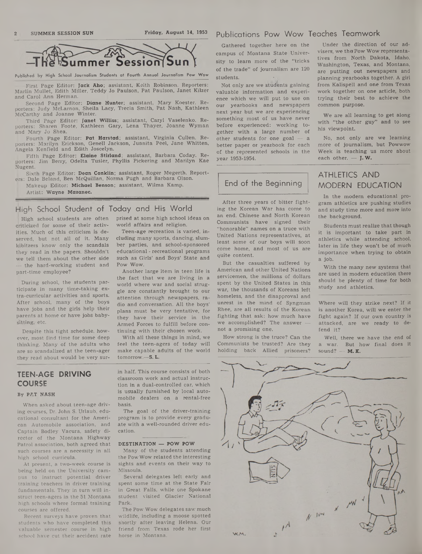

**Published by High School Journalism Students at Fourth Annual Journalism Pow Wow**

First Page Editor: Jack Aho; assistant, Keith Robinson. Reporters: Marlin Mullet, Edith Miller, Teddy Jo Paulson, Pat Paulson, Janet Kilzer and Carol Ann Herman.

Second Page Editor: Diane Hunter; assistant, Mary Koester. Re-<br>porters: Judy McLarnon, Sheila Lacy, Trecia Smith, Pat Nash, Kathleen McCarthy and Joanne Winter.

Third Page Editor: Janet Williss; assistant, Caryl Vaselenko. Reporters: Sharen Foote, Kathleen Gary, Lena Thayer, Joanne Wyman and Mary Jo Shea.

Fourth Page Editor: Pat Harstad; assistant, Virginia Cullen. Reporters: Marilyn Erickson, Genell Jackson, Juanita Peel, Jane Whitten, Angela Kenfield and Edith Joscelyn.

Fifth Page Editor: Elaine Stirland; assistant, Barbara Coday. Reporters: Jim Berry, Odelta Tusler, Phyllis Pickering and Marilyn Kae Nugent.

Sixth Page Editor: Dean Conklin; assistant, Roger Megerth. Reporters: Dale Beland, Ben McQuillan, Norma Pugh and Barbara Olson.

Makeup Editor: Michael Benson; assistant, Wilma Kamp. Artist: Wayne Mazanec.

### High School Student of Today and His World

Criticized for some of their activ- world affairs and religion, ities. Much of this criticism is de- Teen-age recreation is varied, inserved, but not all of it. Many kibitzers know only the scandals they read in the papers. Shouldn't we tell them about the other side — the hard-working student and part-time employee?

During school, the students participate in many time-taking extra-curricular activities and sports. After school, many of the boys have jobs and the girls help their parents at home or have jobs babysitting, etc.

Despite this tight schedule, however, most find time for some deep thinking. Many of the adults who are so scandalized at the teen-ager they read about would be very sur-

High school students are often prised at some high school ideas on

eluding many sports, dancing, slumber parties, and school-sponsored educational - recreational programs such as Girls' and Boys' State and Pow Wow.

Another large item in teen life is the fact that we are living in a world where war and social struggle are constantly brought to our attention through newspapers, radio and conversation. All the boys' plans must be very tentative, for they have their service in the Armed Forces to fulfill before continuing with their chosen work.

With all these things in mind, we feel the teen-agers of today will make capable adults of the world tomorrow.—S. L.

# **TEEN-AGE DRIVING COURSE**

### By PAT NASH

When asked about teen-age driving courses, Dr. John S. Urlaub, educational consultant for the American Automobile association, and Captain Bodley Vacura, safety director of the Montana Highway Patrol association, both agreed that such courses are a necessity in all high school curricula.

At present, a two-week course is being held on the University campus to instruct potential driver training teachers in driver training fundamentals. They in turn will instruct teen-agers in the 51 Montana high schools where formal training courses are offered.

Recent surveys have proven that students who have completed this valuable semester course in high school have cut their accident rate in half. This course consists of both classroom work and actual instruction in a dual-controlled car, which is usually furnished by local automobile dealers on a rental-free basis.

The goal of the driver-training program is to provide every graduate with a well-rounded driver education.

### DESTINATION — POW POW

Many of the students attending the Pow Wow related the interesting sights and events on their way to Missoula.

Several delegates left early and spent some time at the State Fair in Great Falls, while one Spokane student visited Glacier National Park.

The Pow Wow delegates saw much wildlife, including a moose spotted shortly after leaving Helena. Our friend from Texas rode her first horse in Montana.

### Publications Pow Wow Teaches Teamwork

Gathered together here on the campus of Montana State University to learn more of the "tricks of the trade" of journalism are 120 students.

Not only are we students gaining valuable information and experience which we will put to use on our yearbooks and newspapers next year but we are experiencing something most of us have never before experienced: working together with a large number of other students for one goal — a better paper or yearbook for each of the represented schools in the year 1953-1954.

### End of the Beginning

After three years of bitter fighting the Korean War has come to an end. Chinese and North Korean Communists have signed their "honorable" names on a truce with United Nations representatives, at least some of our boys will soon come home, and most of us are quite content.

But the casualties suffered by American and other United Nations servicemen, the millions of dollars spent by the United States in this war, the thousands of Koreans left homeless, and the disapproval and unrest in the mind of Syngman Rhee, are all results of the Korean fighting that ask: how much have we accomplished? The answer not a promising one.

How strong is the truce? Can the Communists be trusted? Are they holding back Allied prisoners?

Under the direction of our advisers, we the Pow Wow representatives from North Dakota, Idaho, Washington, Texas, and Montana, are putting out newspapers and planning yearbooks together. A girl from Kalispell and one from Texas work together on one article, both trying their best to achieve the common purpose.

We are all learning to get along with "the other guy" and to see his viewpoint.

No, not only are we learning more of journalism, but Powwow Week is teaching us more about each other.  $-$  J.W.

# ATHLETICS AND MODERN EDUCATION

In the modem educational program athletics are pushing studies and study time more and more into the background.

Students must realize that though it is important to take part in athletics while attending school, later in life they won't be of much importance when trying to obtain a job.

With the many new systems that are used in modem education there should be plenty of time for both study and athletics.

Where will they strike next? If it is another Korea, will we enter the fight again? If our own country is attacked, are we ready to defend it?

Well, there we have the end of a war. But how final does it sound?  $-$  M.K.

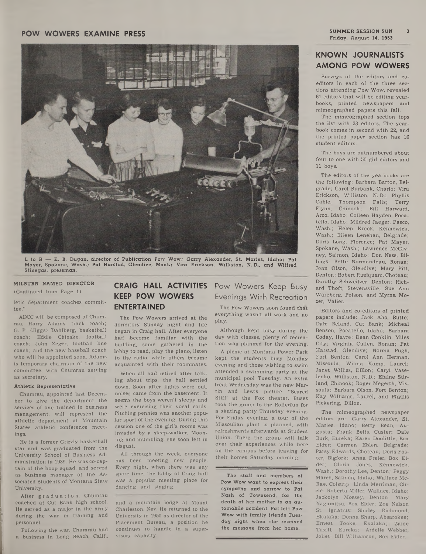# **FOW WOWERS EXAMINE PRESS**<br>Friday, August 14, 1953



L to R — E. B. Dugan, director of Publication Pow Wow; Garry Alexander, St. Maries, Idaho; Pat Mayer, Spokane, Wash.; Pat Harstad, Glendive. Mont.; Vira Erickson, Williston, N. D., and Wilfred Stinegas, pressman.

### MILBURN NAMED DIRECTOR

(Continued from Page 1)

letic department coaches committee."

ADCC will be composed of Chumrau, Harry Adams, track coach; G. P. (Jiggs) Dahlberg, basketball coach; Eddie Chinske, football coach; John Zeger, football line coach; and the new baseball coach who will be appointed soon. Adams is temporary chairman of the new committee, with Chumrau serving as secretary.

### Athletic Representative

Chumrau, appointed last December to give the department the services of one trained in business management, will represent the athletic department at Mountain States athletic conference meetings.

He is a former Grizzly basketball star and was graduated from the University School of Business Administration in 1939. He was co-captain of the hoop squad, and served as business manager of the Associated Students of Montana State University.

After graduation, Chumrau coached at Cut Bank high school. He served as a major in the army during the war in training and personnel.

Following the war, Chumrau had **a** business in Long Beach, Calif.,

# **CRAIG HALL ACTIVITIES KEEP POW WOWERS ENTERTAINED**

The Pow Wowers arrived at the dormitory Sunday night and life began in Craig hall. After everyone had become familiar with the building, some gathered in the lobby to read, play the piano, listen to the radio, while others became acquainted with their roommates.

When all had retired after talking about trips, the hall settled down. Soon after lights were out, noises came from the basement. It seems the boys weren't sleepy and were exercising their vocal cords. Pitching pennies was another popular sport of the evening. During this session one of the girl's rooms was invaded by a sleep-walker. Moaning and mumbling, she soon left in disgust.

All through the week, everyone has been meeting new people. Every night, when there was any spare time, the lobby of Craig hall was a popular meeting place for dancing and singing.

and a mountain lodge at Mount Charleston, Nev. He returned to the University in 1950 as director of the Placement Bureau, a position he continues to handle in a supervisory capacity.

Pow Wowers Keep Busy Evenings With Recreation

The Pow Wowers soon found that everything wasn't all work and no play.

Although kept busy during the day with classes, plenty of recreation was planned for the evening.

A picnic at Montana Power Park kept the students busy Monday evening and those wishing to swim attended a swimming party at the municipal pool Tuesday. An extra treat Wednesday was the new Martin and Lewis picture "Scared Stiff' at the Fox theater. Buses took the group to the Rollerfun for a skating party Thursday evening. For Friday evening, a tour of the Missoulian plant is planned, with refreshments afterwards at Student Union. There the group will talk over their experiences while here on the campus before leaving for their homes Saturday morning.

The staff and members of Pow Wow want to express their sympathy and sorrow to Pat Nash of Townsend, for the death of her mother in an automobile accident. Pat left Pow Wow with family friends Tuesday night when she received the message from her home.

 $\overline{3}$ 

# **KNOWN JOURNALISTS AMONG POW WOWERS**

Surveys of the editors and coeditors in each of the three sections attending Pow Wow, revealed 61 editors that will be editing yearbooks, printed newspapers and mimeographed papers this fall.

The mimeographed section tops the list with 23 editors. The yearbook comes in second with 22, and the printed paper section has 16 student editors.

The boys are outnumbered about four to one with 50 girl editors and 11 boys.

The editors of the yearbooks are the following: Barbara Barton, Belgrade; Carol Burbank, Charlo; Vira Erickson, Williston, N. D.; Phyllis Cable, Thompson Falls; Terry Flynn, Chinook; Bill Harward, Arco, Idaho; Colleen Hayden, Pocatello, Idaho; Mildred Jaeger, Pasco, Wash.; Helen Krook, Kennewick, Wash.; Eileen Lenehan, Belgrade; Doris Long, Florence; Pat Mayer, Spokane, Wash.; Lawrence McGivney, Salmon, Idaho; Don Ness, Billings; Bette Normandeau, Ronan; Joan Olson, Glendive; Mary Pitt, Denton; Robert Rueiquam, Choteau; Dorothy Schweitzer, Denton; Richard Thoft, Stevensville; Sue Ann Wareberg, Poison, and Myrna Mozer, Valier.

Editors and co-editors of printed papers include: Jack Aho, Butte; Dale Beland, Cut Bank; Micheal Benson, Pocatello, Idaho; Barbara Coday, Havre; Dean Conklin, Miles City; - Virginia Cullen, Ronan; Pat Harstad, Glendive; Norma Pugh, Fort Benton; Carol Ann Herman, Missoula; Wilma Kamp, Laurel; Janet Williss, Dillon; Caryl Vaselenko, Williston, N. D.; Elaine Stirland, Chinook; Roger Megerth, Missoula; Barbara Olson, Fort Benton; Kay Williams, Laurel, and Phyllis Pickering, Dillon.

The mimeographed newspaper editors are: Garry Alexander, St. Maries, Idaho; Betty Bean, Augusta; Frank Belts, Custer; Dale Burk, Eureka; Karen Doolittle, Box Elder; Carmen Eblen, Belgrade; Patsy Edwards, Choteau; Doris Foster, Bigfork; Anna Freier, Box Elder; Gloria Jones, Kennewick, Wash.; Dorothy Lee, Denton; Peggy March, Salmon, Idaho; Wallace Mc-Rae, Colstrip; Linda Merriman, Circle; Roberta Miller, Wallace, Idaho; Jackolyn Mossey, Denton; Mary Nagamitsu, Box Elder; Zoe Nelson St. Ignatius; Shirley Richmond, Ekalaka; Donna Sharp, Absarokee; Ernest Tooke, Ekalaka; Zaide Tuxill, Eureka; Ardelle Webber, Joliet; Bill Williamson, Box Eider.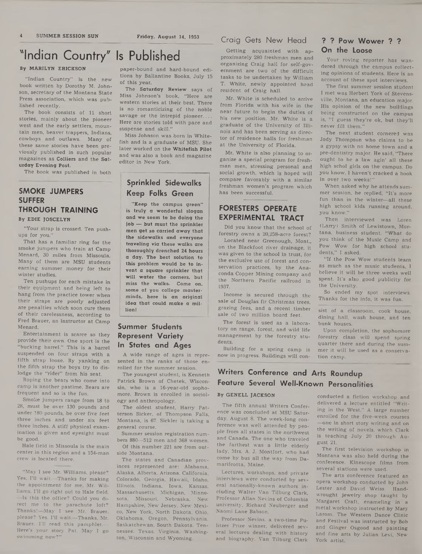### **Craig Gets New Head**

Getting acquainted with approximately 280 freshman men and organizing Craig hall for self-government are two of the difficult tasks to be undertaken by William T. White, newly appointed head resident of Craig hall.

Mr. White is scheduled to arrive from Florida with his wife in the near future to begin the duties of his new position. Mr. White is a graduate of the University of Illinois and has been serving as director of residence halls for freshman at the University of Florida.

Mr. White is also planning to organize a special program for freshman men, stressing personal and social growth, which is hoped will compare favorably with a similar freshman women's program which has been successful.

## **FORESTERS OPERATE EXPERIMENTAL TRACT**

Did you know that the school of forestry owns a 20,258-acre forest?

Located near Greenough, Mont., on the Blackfoot river drainage, it was given to the school in trust, for the exclusive use of forest and conservation practices, by the Anaconda Copper Mining company and the Northern Pacific railroad in 1937.

Income is secured through the sale of Douglas fir Christmas trees. grazing fees, and a recent timber sale of two million board feet.

The forest is used as a laboratory on range, forest, and wild life management by the forestry students.

Building for a spring camp is now in progress. Buildings will con-

# **Writers Conference and Arts Roundup Feature Several Well-Known Personalities**

The fifth annual Writers Conference was concluded at MSU Saturday, August 8. The week-long conference was well attended by people from all states in the northwest and Canada. The one who traveled the farthest was a little elderly lady, Mrs. A. J. Montfort, who had come by bus all the way from Damarifcotta, Maine.

Professor Nevins, a two-time Pu-

### **On the Loose ? ? Pow Wower ? ?**

Your roving reporter has wandered through the campus collecting opinions of students. Here is an account of these spot interviews.

The first summer session student I met was Herbert York of Stevensville, Montana, an education major. His opinion of the new buildings being constructed on the campus is, "I guess they're ok, but they'll never fill them."

The next student cornered was Jody Thompson who claims to be a gypsy with no home town and a pre-dentistry major. He said, "There ought to be a law agin' all these high schol girls on the campus. Do you know, I haven't cracked a book in over two weeks!"

When asked why he attends summer session, he replied, "It's more fun than in the winter—all these high school kids running around, you know."

Then interviewed was Loren (Larry) Smith of Lewistown, Montana, business student. "What do you think of the Music Camp and Pow Wow for high school students," I asked.

"If the Pow Wow students learn as much as the music students, I believe it will be three weeks well spent. It's also good publicity for the University.

So ended my spot interviews. Thanks for the info, it was fun.

sist of a classroom, cook house, dining hall, wash house, and ten bunk houses.

Upon completion, the sophomore forestry class will spend spring quarter there and during the summer it will be used as a conservation camp.

# **By GENELL JACKSON**

Lectures, workshops, and private interviews were conducted by several nationally-known authors including Walter Van Tilburg Clark, Professor Allan Nevins of Columbia university, Richard Neuberger and Naomi Lane Babson.

litzer Prize winner, delivered several lectures dealing with history and biography. Van Tilburg Clark

conducted a fiction workshop and delivered a lecture entitled "Writing in the West." A large number enrolled for the five-week courses —one in short story writing and on the writing of novels, which Clark is teaching July 20 through August 21.

The first television workshop in Montana was also held during the conference. Kinescope films from several stations were used.

The arts conference featured an opera workshop conducted by John Lester and David Weiss. Handwrought jewelry shop taught by Margaret Craft, enameling in a metal workshop instructed by Mary Larom. The Western Dance Clinic and Festival was instructed by Bob and Ginger Osgood and painting and fine arts by Julian Levi, New York artist.

**"Indian Country" Is Published**

### By MARILYN ERICKSON

"Indian Country" is the new book written by Dorothy M. Johnson, secretary of the Montana State Press association, which was published recently.

The book consists of 11 short stories, mainly about the pioneer west and the early settlers, mountain men, beaver trappers, Indians, cowboys and outlaws. Many of these same stories have been previously published in such popular magazines as Colliers and the Saturday Evening Post.

The book was published in both

# **SMOKE JUMPERS SUFFER THROUGH TRAINING**

**By EDIE JOSCELYN**

"Your strap is crossed. Ten pushups for you."

That has a familiar ring for the smoke jumpers who train at Camp Menard, 30 miles from Missoula. Many of them are MSU students earning summer money for their winter studies.

Ten pushups for each mistake in their equipment and being left to hang from the practice tower when their straps are poorly adjusted are penalties which soon cure them of their carelessness, according to Fred Brauer, an instructor at Camp Menard.

Entertainment is scarce so they provide their own. One sport is the "bucking barrel." This is a barrel suspended on four straps with a fifth strap loose. By yanking on the fifth strap the boys try to dislodge the "rider" from his seat.

Roping the bears who come into camp is another pastime. Bears are frequent and so is the fun.

Smoke jumpers range from 18 to 28, must be over 130 pounds and under 180 pounds, be over five feet three inches and under six feet three inches. A stiff physical examination is given and eyesight must be good.

Hale field in Missoula is the main center in this region and a 154-man crew is located there.

"May I see Mr. Williams, please? Yes, I'll wait.—Thanks for making the appointment for me, Mr. Williams. I'll go right out to Hale field. —Is this the office? Could you direct me to the parachute loft? Thanks!—May I see Mr. Brauer, please? Yes, I'll wait—Thanks, Mr. Brauer. I'll read this pamphlet.— Here's your story Pat. May I go swimming now?"

paper-bound and hard-bound editions by Ballantine Books, July 15 of this year.

The Saturday Review says of Miss Johnson's book, "Here are western stories at their best. There is no romanticizing of the noble savage or the intrepid pioneer.... Here are stories told with pace and suspense and skill."

Miss Johnson was born in Whitefish and is a graduate of MSU. She later worked on the Whitefish Pilot and was also a book and magazine editor in New York.

# **Sprinkled Sidewalks Keep Folks Green**

"Keep the campus green" is truly a wonderful slogan and we seem to be doing the job — but must the sprinkler men get so carried away that the sidewalks and everyone traveling via these walks are thoroughly drenched 24 hours a day. The best solution to this problem would be to invent a square sprinkler that will water the comers, but miss the walks. Come on, some of you college masterminds, here is an original idea that could make a million!

## **Summer Students Represent Variety In States and Ages**

A wide range of ages is represented in the ranks of those enrolled for the summer session.

The youngest student, is Kenneth Patrick Brown of Chetek, Wisconsin, who is a 16-year-old sophomore. Brown is enrolled in sociology and anthropology.

The oldest student, Harry Patterson Sicker, of Thompson Falls, Montana, is 67. Sickler is taking a general course.

Summer session registration numbers 880—512 men and 368 women.

Of this number 221 are from outside Montana.

The states and Canadian provinces represented are: Alabama, Alaska, Alberta, Arizona, California, Colorado, Georgia, Hawaii, Idaho, Illinois, Indiana. Iowa, Kansas, Massachusetts, Michigan, Minnesota, Missouri, Nebraska, New Hampshire, New Jersey, New Mexico, New York, North Dakota, Ohio, Oklahoma. Oregon, Pennsylvania, Saskatchewan, South Dakota, Tennessee, Texas, Virginia, Washington, Wisconsin and Wyoming.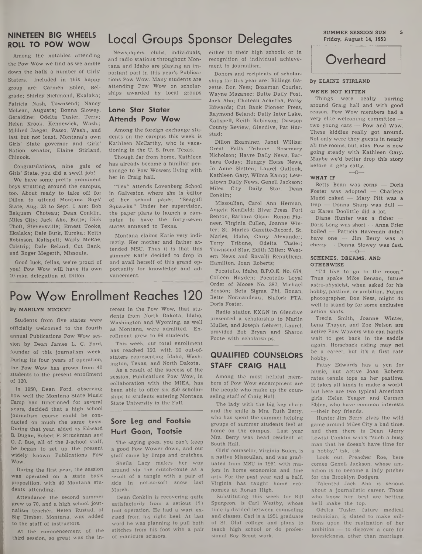# **ROLL TO POW WOW**

Among the notables attending the Pow Wow we find as we amble down the halls a number of Girls' Staters. Included in this happy group are: Carmen Eblen, Belgrade; Shirley Richmond, Ekalaka; Patricia Nash, Townsend; Nancy McLean, Augusta; Donna Slowey, Geraldine; Odelta Tusler, Terry; Helen Krook, Kennewick, Wash.; Mildred Jaeger, Pasco, Wash., and last but not least, Montana's own Girls' State governor and Girls' Nation senator, Elaine Stirland, Chinook.

Congratulations, nine gals of Girls' State, you did a swell job!

We have some pretty prominent boys strutting around the campus, too. About ready to take off for Dillon to attend Montana Boys' State, Aug. 23 to Sept. 1 are: Bob Reiquam, Choteau; Dean Conklin, Miles City; Jack Aho, Butte; Dick Thoft, Stevensville; Ernest Tooke, Ekalaka; Dale Burk, Eureka; Keith Robinson, Kalispell; Wally McRae, Colstrip; Dale Beland, Cut Bank, and Roger Megerth, Missoula.

Good luck, fellas, we're proud of you! Pow Wow will have its own 10-man delegation at Dillon.

# **Local Groups Sponsor Delegates NINETEEN BIG WHEELS**

Newspapers, clubs, individuals, and radio stations throughout Montana and Idaho are playing an important part in this year's Publications Pow Wow. Many students are attending Pow Wow on scholarships awarded by local groups

### **Lone Star Stater Attends Pow Wow**

Among the foreign exchange students on the campus this week is Kathleen McCarthy, who is vacationing in the U. S. from Texas.

Though far from home, Kathleen has already become a familiar personage to Pow Wowers living with her in Craig hall.

"Tex" attends Lovenberg School in Galveston where she is editor of her school paper, "Seagull Squawks." Under her supervision, the paper plans to launch a campaign to have the forty-seven states annexed to Texas.

Montana claims Katie very indirectly. Her mother and father attended MSU. Thus it is that this summer Katie decided to drop in and avail herself of this grand opportunity for knowledge and advancement.

either to their high schools or in recognition of individual achievement in journalism.

Donors and recipients of scholarships for this year are: Billings Gazette, Don Ness; Bozeman Courier, Wayne Mazanec; Butte Daily Post, Jack Aho; Choteau Acantha, Patsy Edwards; Cut Bank Pioneer Press, Raymond Beland; Daily Inter Lake, Kalispell, Keith Robinson; Dawson County Review, Glendive, Pat Harstad;

Dillon Examiner, Janet Williss; Great Falls Tribune, Rosemary Nicholson; Havre Daily News, Barbara Coday; Hungry Horse News, Jo Anne Sletten; Laurel Outlook, Kathleen Gary, Wilma Kamp; Lewistown Daily News, Genell Jackson; Miles City Daily Star, Dean Conklin;

Missoulian, Carol Ann Herman, Angela Kenfield; River Press, Fort Benton, Barbara Olson; Ronan Pioneer, Virginia Cullen, Joanne Winter; St. Maries Gazette-Record, St. Maries, Idaho, Garry Alexander; Terry Tribune, Odelta Tusler; Townsend Star, Edith Miller; Western News and Ravalli Republican, Hamilton, Joan Roberts;

Pocatello, Idaho, B.P.O.E. No. 674, Colleen Hayden; Pocatello Loyal Order of Moose No. 387, Michael Benson; Beta Sigma Phi, Ronan, Bette Normandeau; Bigfork PTA, Doris Foster.

Radio station KXGN in Glendive presented a scholarship to Marlin Mullet, and Joseph Gehrett, Laurel, provided Bob Bryan and Sharon Foote with scholarships.

# **QUALIFIED COUNSELORS STAFF CRAIG HALL**

Among the most helpful members of Pow Wow encampment are the people who make up the counseling staff of Craig Hall.

The lady with the big key chain and the smile is Mrs. Ruth Berry, who has spent the summer helping groups of summer students feel at home on the campus. Last year Mrs. Berry was head resident at South Hall.

Girls' counselor, Virginia Bulen, is a native Missoulian, and was graduated from MSU in 1951 with majors in home economics and fine arts. For the past year and a half, Virginia has taught home economics at Ronan High.

Substituting this week for Bill Spurgeon, is Carl Westby, whose time is divided between counseling and classes. Carl is a 1951 graduate of St. Olaf college and plans to teach high school or do professional Boy Scout work.



### **By ELAINE STIRLAND**

### **WE'RE NOT KITTEN**

Things were really purring around Graig hall and with good reason. Pow Wow members had a very elite welcoming committee two young cats — Pow and Wow. These kiddies really got around. Not only were they guests in nearly all the rooms, but, alas, Pow is now going steady with Kathleen Gary. Maybe we'd better drop this story before it gets catty.

 $\overline{\Omega}$ 

### **WHAT IF**

Betty Bean was corny — Doris Foster was adopted — Charlene Mudd caked — Mary Pitt was a trap — Donna Sharp was dull or Karen Doolittle did a lot.

Diane Hunter was a fisher — Doris Long was short — Anna Frier boiled — Patricia Haveman didn't have one — Jim Berry was a cherry — Donna Slowey was fast.  $-\Omega$ 

### **SCHEMES, DREAMS, AND OTHERWISE**

"I'd like to go to the moon." Thus spake Mike Benson, future astro-physicist, when asked for his hohby, pastime, or ambition. Future photographer, Don Ness, might do well to stand by for some exclusive action shots.

Trecia Smith, Joanne Winter, Lena Thayer, and Zoe Nelson are active Pow Wowers who can hardly wait to get back in the saddle again. Horseback riding may not be a career, but it's a first rate hobby.

Patsy Edwards has a yen for music, but active Joan Roberts rates tennis tops as her pastime. It takes all kinds to make a world, but here are two typical American girls, Helen Yeager and Carmen Eblen, who have common interests —their boy friends.

Hunter Jim Berry gives the wild game around Miles City a bad time, and then there is Dean (Jerry Lewis) Conklin who's "such a busy man that he doesn't have time for a hobby," tsk, tsk.

Look out, Preacher Roe, here comes Genell Jackson, whose ambition is to become a lady pitcher for the Brooklyn Dodgers.

Talented Jack Aho is serious about a journalistic career. Those who know him best are betting he'll make the top.

Odelta Tusler, future medical technician, is slated to make millions upon the realization of her ambition — to discover a cure for lovesickness, other than marriage.

# **Pow Wow Enrollment Reaches 120**

### **By MARILYN NUGENT**

Students from five states were officially welcomed to the fourth annual Publications Pow Wow session by Dean James L. C. Ford, founder of this journalism week. During its four years of operation, the Pow Wow has grown from 40 students to the present enrollment of 120.

In 1950, Dean Ford, observing how well the Montana State Music Camp had functioned for several years, decided that a high school journalism course could be conducted on much the same basis. During that year, aided by Edward B. Dugan, Robert P. Struckman and O. J. Bue, all of the J-school staff, he began to set up the present widely known Publications Pow Wow.

During the first year, the session was operated on a state basis proposition, with 40 Montana students attending.

Attendance the second summer grew to 70, and a high school journalism teacher, Helen Rustad, of Big Timber, Montana, was added to the staff of instructors.

At the commencement of the third session, so great was the interest in the Pow Wow, that students from North Dakota, Idaho, Washington and Wyoming, as well as Montana, were admitted. Enrollment grew to 99 students.

This week, our total enrollment has reached 120, with 20 out-ofstaters representing Idaho, Washington, Texas, and North Dakota.

As a result of the success of the session, Publications Pow Wow, in collaboration with the MIEA, has been able to offer six \$50 scholarships to students entering Montana State University in the Fall.

# **Sore Leg and Footsie Hurt Goon, Tootsie**

The saying goes, you can't keep a good Pow Wower down, and our staff came by limps and crutches.

Sheila Lacy makes her way around via the crutch-route as a result of a tangle with a pair of skis in not-so-soft snow last March.

Dean Conklin is recovering quite satisfactorily from a serious (?) foot operation. He had a wart excised from his right heel. At last word he was planning to pull both stitches from his foot with a pair of manicure scissors.